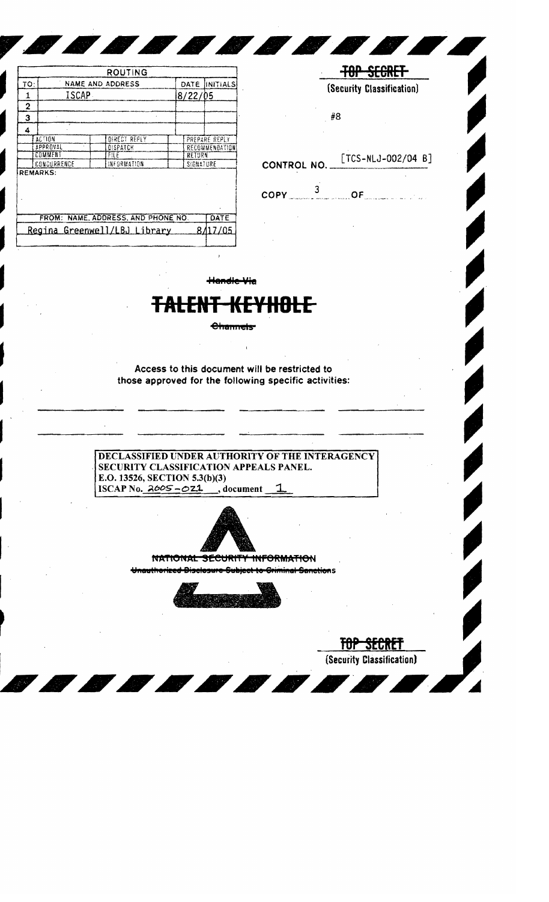|             |                         | <b>ROUTING</b>                     |      |                |  |
|-------------|-------------------------|------------------------------------|------|----------------|--|
| TO:         | <b>NAME AND ADDRESS</b> |                                    | DATE | INITIALS       |  |
| 1           | ISCAP                   |                                    |      | 8/22/05        |  |
| 2           |                         |                                    |      |                |  |
| з           |                         |                                    |      |                |  |
| 4           |                         |                                    |      |                |  |
|             | <b>ACTION</b>           | DIRECT REFLY                       |      | PREPARE REPLY  |  |
| APPROVAL    |                         | DISPATCH                           |      | RECOMMENDATION |  |
|             | COMMENT                 | FILE                               |      | RETURN         |  |
| CONCURRENCE |                         | INFORMATION                        |      | SIGNATURE      |  |
|             | <b>REMARKS:</b>         |                                    |      |                |  |
|             |                         | FROM: NAME, ADDRESS, AND PHONE NO. |      | DATE           |  |
|             |                         |                                    |      |                |  |

TOP SECRET

(Security Classification)

#8

[TCS-NLJ-002/04 B] CONTROL NO.

 $\frac{3}{2}$  $OF$ COPY

<del>Handle Via</del>

## <del>KEYHOLE</del>

## **Channels**

Access to this document will be restricted to those approved for the following specific activities:

**DECLASSIFIED UNDER AUTHORITY OF THE INTERAGENCY** SECURITY CLASSIFICATION APPEALS PANEL. E.O. 13526, SECTION 5.3(b)(3) ISCAP No.  $2005 - 021$ , document 1



SECURIT **NATIONAL** <del>ORMATIO</del>N



TOP SECRET (Security Classification)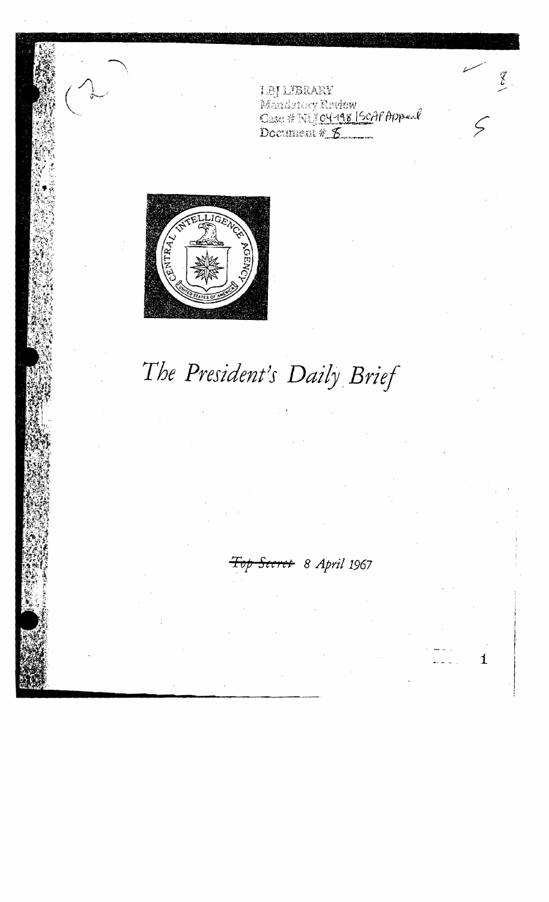**LBJ LEBRARY**<br>Mandatory Review<br>Case # NUJ 04-148 | SOAf Appeal<br>Document #\_<del>6</del>

 $\sum_{i=1}^{n}$ 

1



## The President's Daily Brief

Top Secret 8 April 1967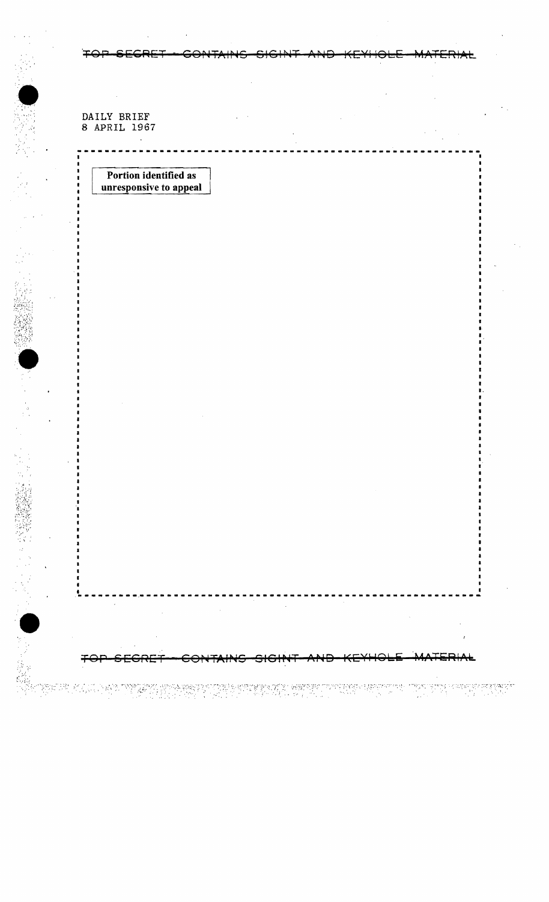DAILY BRIEF<br>8 APRIL 1967

 $\blacksquare$ 

n<br>M

∓⊖∔

<del>SEGRE</del>

<del>∣∕G∤N</del>

ASLENA

**THE PROPERTY OF** 

Portion identified as unresponsive to appeal

TERIAL

ringen og typpe ve døpen et hverte førster.<br>Stor i Stor i Stor i Stor i Stor i Stor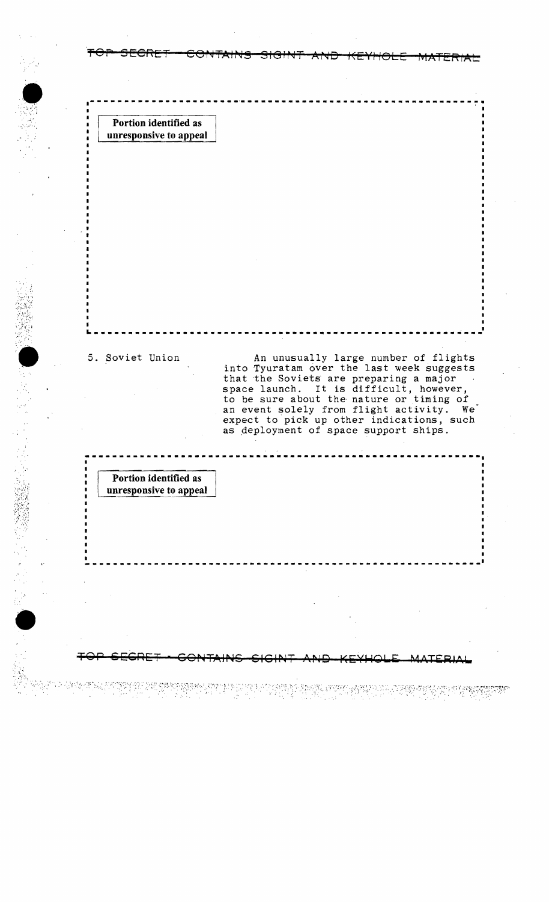**Portion identified as unresponsive to appeal** 

.' "  $\bullet$  .

H' "

 $\bullet$ 

......... '.

5. Soviet Union An unusually large number of flights into Tyuratam over the last week suggests that the Soviets are preparing a major space launch. It is difficult, however, to be sure about the nature or timing of<br>an event solely from flight activity. We an event solely from flight activity. expect to pick up other indications, such as deployment of space support ships.

**---------------------------------------------------------**

~- .. -----------.--------------------------------------~--~

**\_ •••••• \_\_\_\_\_\_\_\_ ••• \_\_\_\_\_\_\_\_ ••• \_\_\_\_\_\_\_\_\_\_\_\_ .\_. \_\_ ••• \_\_\_\_\_\_\_\_\_I** 

TOP SEGRET - GONTAINS SIGINT AND KEYHOLE MATERIAL

FOP SECRET - CONTAINS SIGINT AND KEYHOLE MATERIAL

**Portion identified as** unresponsive to appeal